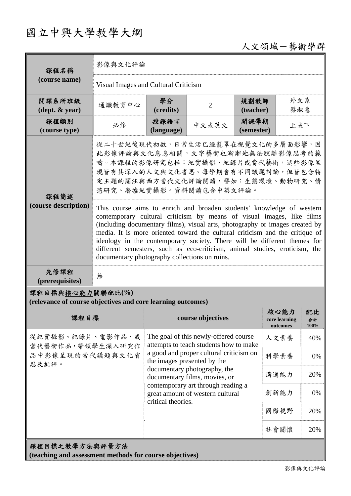## 國立中興大學教學大綱

## 人文領域-藝術學群

| 課程名稱                                                                            | 影像與文化評論                                                                                                                                                                                                                                                                                                                                                                                                                                                                                                                   |                                                                                                                                                                                                                                                                                                                            |                   |                    |                                   |                  |  |
|---------------------------------------------------------------------------------|---------------------------------------------------------------------------------------------------------------------------------------------------------------------------------------------------------------------------------------------------------------------------------------------------------------------------------------------------------------------------------------------------------------------------------------------------------------------------------------------------------------------------|----------------------------------------------------------------------------------------------------------------------------------------------------------------------------------------------------------------------------------------------------------------------------------------------------------------------------|-------------------|--------------------|-----------------------------------|------------------|--|
| (course name)                                                                   | Visual Images and Cultural Criticism                                                                                                                                                                                                                                                                                                                                                                                                                                                                                      |                                                                                                                                                                                                                                                                                                                            |                   |                    |                                   |                  |  |
| 開課系所班級<br>$(\text{dept.} \& \text{ year})$                                      | 通識教育中心                                                                                                                                                                                                                                                                                                                                                                                                                                                                                                                    | 學分<br>(credits)                                                                                                                                                                                                                                                                                                            | $\overline{2}$    | 規劃教師<br>(teacher)  | 外文系<br>蔡淑惠                        |                  |  |
| 課程類別<br>(course type)                                                           | 必修                                                                                                                                                                                                                                                                                                                                                                                                                                                                                                                        | 授課語言<br>(language)                                                                                                                                                                                                                                                                                                         | 中文或英文             | 開課學期<br>(semester) | 上或下                               |                  |  |
| 課程簡述<br>(course description)                                                    | 從二十世紀後現代初啟,日常生活已經籠罩在視覺文化的多層面影響,因<br>此影像評論與文化息息相關,文字藝術也漸漸地無法脫離影像思考的範<br>疇。本課程的影像研究包括:紀實攝影、紀錄片或當代藝術,這些影像呈<br>現皆有其深入的人文與文化省思。每學期會有不同議題討論,但皆包含特<br>定主題的關注與西方當代文化評論閱讀,譬如:生態環境、動物研究、情<br>慾研究、廢墟紀實攝影。資料閱讀包含中英文評論。                                                                                                                                                                                                                                                                                                                |                                                                                                                                                                                                                                                                                                                            |                   |                    |                                   |                  |  |
|                                                                                 | This course aims to enrich and broaden students' knowledge of western<br>contemporary cultural criticism by means of visual images, like films<br>(including documentary films), visual arts, photography or images created by<br>media. It is more oriented toward the cultural criticism and the critique of<br>ideology in the contemporary society. There will be different themes for<br>different semesters, such as eco-criticism, animal studies, eroticism, the<br>documentary photography collections on ruins. |                                                                                                                                                                                                                                                                                                                            |                   |                    |                                   |                  |  |
| 先修課程<br>(prerequisites)                                                         | 無                                                                                                                                                                                                                                                                                                                                                                                                                                                                                                                         |                                                                                                                                                                                                                                                                                                                            |                   |                    |                                   |                  |  |
| 課程目標與核心能力關聯配比(%)<br>(relevance of course objectives and core learning outcomes) |                                                                                                                                                                                                                                                                                                                                                                                                                                                                                                                           |                                                                                                                                                                                                                                                                                                                            |                   |                    |                                   |                  |  |
| 課程目標                                                                            |                                                                                                                                                                                                                                                                                                                                                                                                                                                                                                                           |                                                                                                                                                                                                                                                                                                                            | course objectives |                    | 核心能力<br>core learning<br>outcomes | 配比<br>合計<br>100% |  |
| 從紀實攝影、紀錄片、電影作品、或<br>當代藝術作品,帶領學生深入研究作<br>品中影像呈現的當代議題與文化省<br>思及批評。                |                                                                                                                                                                                                                                                                                                                                                                                                                                                                                                                           | The goal of this newly-offered course<br>attempts to teach students how to make<br>a good and proper cultural criticism on<br>the images presented by the<br>documentary photography, the<br>documentary films, movies, or<br>contemporary art through reading a<br>great amount of western cultural<br>critical theories. |                   | 人文素養               | 40%                               |                  |  |
|                                                                                 |                                                                                                                                                                                                                                                                                                                                                                                                                                                                                                                           |                                                                                                                                                                                                                                                                                                                            |                   | 科學素養               | 0%                                |                  |  |
|                                                                                 |                                                                                                                                                                                                                                                                                                                                                                                                                                                                                                                           |                                                                                                                                                                                                                                                                                                                            |                   | 溝通能力               | 20%                               |                  |  |
|                                                                                 |                                                                                                                                                                                                                                                                                                                                                                                                                                                                                                                           |                                                                                                                                                                                                                                                                                                                            |                   | 創新能力               | 0%                                |                  |  |
|                                                                                 |                                                                                                                                                                                                                                                                                                                                                                                                                                                                                                                           |                                                                                                                                                                                                                                                                                                                            |                   | 國際視野               | 20%                               |                  |  |
|                                                                                 |                                                                                                                                                                                                                                                                                                                                                                                                                                                                                                                           |                                                                                                                                                                                                                                                                                                                            |                   |                    | 社會關懷                              | 20%              |  |
| 課程目標之教學方法與評量方法<br>(teaching and assessment methods for course objectives)       |                                                                                                                                                                                                                                                                                                                                                                                                                                                                                                                           |                                                                                                                                                                                                                                                                                                                            |                   |                    |                                   |                  |  |

п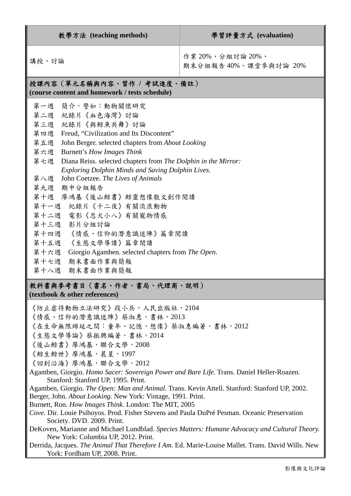| 教學方法 (teaching methods)                                                                                                                                                                                                                                                                                                                                                                                                                                                                                                                                                                                                                                                                                                                                                                                                                                                                                                                                             | 學習評量方式 (evaluation)                      |  |  |  |  |
|---------------------------------------------------------------------------------------------------------------------------------------------------------------------------------------------------------------------------------------------------------------------------------------------------------------------------------------------------------------------------------------------------------------------------------------------------------------------------------------------------------------------------------------------------------------------------------------------------------------------------------------------------------------------------------------------------------------------------------------------------------------------------------------------------------------------------------------------------------------------------------------------------------------------------------------------------------------------|------------------------------------------|--|--|--|--|
| 講授、討論                                                                                                                                                                                                                                                                                                                                                                                                                                                                                                                                                                                                                                                                                                                                                                                                                                                                                                                                                               | 作業 20%、分組討論 20%、<br>期末分組報告40%、課堂參與討論 20% |  |  |  |  |
| 授課內容(單元名稱與內容、習作 / 考試進度、備註)<br>(course content and homework / tests schedule)                                                                                                                                                                                                                                                                                                                                                                                                                                                                                                                                                                                                                                                                                                                                                                                                                                                                                        |                                          |  |  |  |  |
| 第一週 簡介,譬如:動物關懷研究<br>第二週 紀錄片《血色海灣》討論<br>第三週 紀錄片《與鯨魚共舞》討論<br>第四週 Freud, "Civilization and Its Discontent"<br>第五週 John Berger. selected chapters from About Looking<br>第六週<br>Burnett's How Images Think<br>第七週<br>Diana Reiss. selected chapters from The Dolphin in the Mirror:<br>Exploring Dolphin Minds and Saving Dolphin Lives.<br>第八週 John Coetzee. The Lives of Animals<br>第九週 期中分組報告<br>第十週 廖鴻基《後山鯨書》鯨靈想像散文創作閱讀<br>第十一週 紀錄片《十二夜》有關流浪動物<br>第十二週 電影《忠犬小八》有關寵物情感<br>第十三週 影片分組討論<br>第十四週 《情感、信仰的潛意識迷陣》篇章閱讀<br>第十五週 《生態文學導讀》篇章閱讀<br>第十六週 Giorgio Agamben. selected chapters from The Open.<br>第十七週 期末書面作業與簡報<br>第十八週 期末書面作業與簡報                                                                                                                                                                                                                                                                                                                                    |                                          |  |  |  |  |
| 教科書與參考書目(書名、作者、書局、代理商、說明)<br>(textbook & other references)                                                                                                                                                                                                                                                                                                                                                                                                                                                                                                                                                                                                                                                                                                                                                                                                                                                                                                          |                                          |  |  |  |  |
| 《防止虐待動物立法研究》段小兵,人民出版社,2104<br>《情感、信仰的潛意識迷陣》蔡淑惠,書林,2013<br>《在生命無限綿延之間:童年、記憶、想像》蔡淑惠編著,書林,2012<br>《生態文學導論》蔡振興編著,書林,2014<br>《後山鯨書》廖鴻基,聯合文學,2008<br>《鯨生鯨世》廖鴻基,晨星,1997<br>《回到沿海》廖鴻基,聯合文學,2012<br>Agamben, Giorgio. Homo Sacer: Sovereign Power and Bare Life. Trans. Daniel Heller-Roazen.<br>Stanford: Stanford UP, 1995. Print.<br>Agamben, Giorgio. The Open: Man and Animal. Trans. Kevin Attell. Stanford: Stanford UP, 2002.<br>Berger, John. About Looking. New York: Vintage, 1991. Print.<br>Burnett, Ron. How Images Think. London: The MIT, 2005<br>Cove. Dir. Louie Psihoyos. Prod. Fisher Stevens and Paula DuPré Pesman. Oceanic Preservation<br>Society. DVD. 2009. Print.<br>DeKoven, Marianne and Michael Lundblad. Species Matters: Humane Advocacy and Cultural Theory.<br>New York: Columbia UP, 2012. Print.<br>Derrida, Jacques. The Animal That Therefore I Am. Ed. Marie-Louise Mallet. Trans. David Wills. New<br>York: Fordham UP, 2008. Print. |                                          |  |  |  |  |